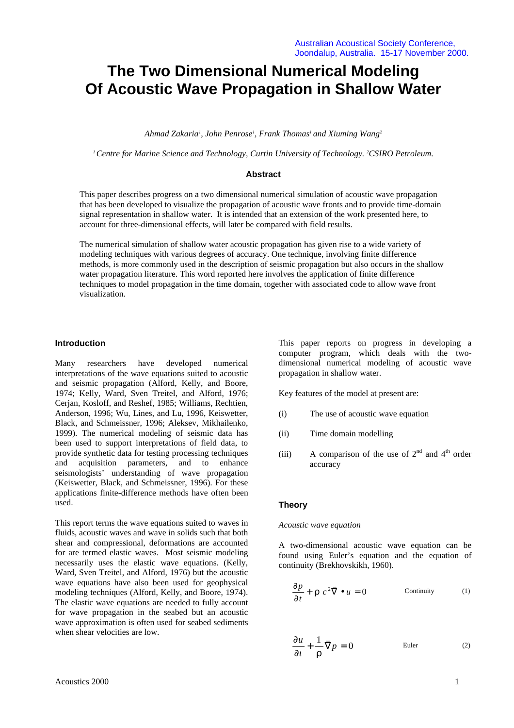# **The Two Dimensional Numerical Modeling Of Acoustic Wave Propagation in Shallow Water**

*Ahmad Zakaria<sup>1</sup> , John Penrose<sup>1</sup> , Frank Thomas<sup>1</sup> and Xiuming Wang<sup>2</sup>*

*<sup>1</sup>Centre for Marine Science and Technology, Curtin University of Technology. 2CSIRO Petroleum.*

# **Abstract**

This paper describes progress on a two dimensional numerical simulation of acoustic wave propagation that has been developed to visualize the propagation of acoustic wave fronts and to provide time-domain signal representation in shallow water. It is intended that an extension of the work presented here, to account for three-dimensional effects, will later be compared with field results.

The numerical simulation of shallow water acoustic propagation has given rise to a wide variety of modeling techniques with various degrees of accuracy. One technique, involving finite difference methods, is more commonly used in the description of seismic propagation but also occurs in the shallow water propagation literature. This word reported here involves the application of finite difference techniques to model propagation in the time domain, together with associated code to allow wave front visualization.

## **Introduction**

Many researchers have developed numerical interpretations of the wave equations suited to acoustic and seismic propagation (Alford, Kelly, and Boore, 1974; Kelly, Ward, Sven Treitel, and Alford, 1976; Cerian, Kosloff, and Reshef, 1985; Williams, Rechtien, Anderson, 1996; Wu, Lines, and Lu, 1996, Keiswetter, Black, and Schmeissner, 1996; Aleksev, Mikhailenko, 1999). The numerical modeling of seismic data has been used to support interpretations of field data, to provide synthetic data for testing processing techniques and acquisition parameters, and to enhance seismologists' understanding of wave propagation (Keiswetter, Black, and Schmeissner, 1996). For these applications finite-difference methods have often been used.

This report terms the wave equations suited to waves in fluids, acoustic waves and wave in solids such that both shear and compressional, deformations are accounted for are termed elastic waves. Most seismic modeling necessarily uses the elastic wave equations. (Kelly, Ward, Sven Treitel, and Alford, 1976) but the acoustic wave equations have also been used for geophysical modeling techniques (Alford, Kelly, and Boore, 1974). The elastic wave equations are needed to fully account for wave propagation in the seabed but an acoustic wave approximation is often used for seabed sediments when shear velocities are low.

This paper reports on progress in developing a computer program, which deals with the twodimensional numerical modeling of acoustic wave propagation in shallow water.

Key features of the model at present are:

- (i) The use of acoustic wave equation
- (ii) Time domain modelling
- (iii) A comparison of the use of  $2<sup>nd</sup>$  and  $4<sup>th</sup>$  order accuracy

# **Theory**

#### *Acoustic wave equation*

A two-dimensional acoustic wave equation can be found using Euler's equation and the equation of continuity (Brekhovskikh, 1960).

$$
\frac{\partial p}{\partial t} + \mathbf{r} c^2 \vec{\nabla} \bullet u = 0 \qquad \text{Continuity} \qquad (1)
$$

$$
\frac{\partial u}{\partial t} + \frac{1}{r} \vec{\nabla} p = 0
$$
 Euler (2)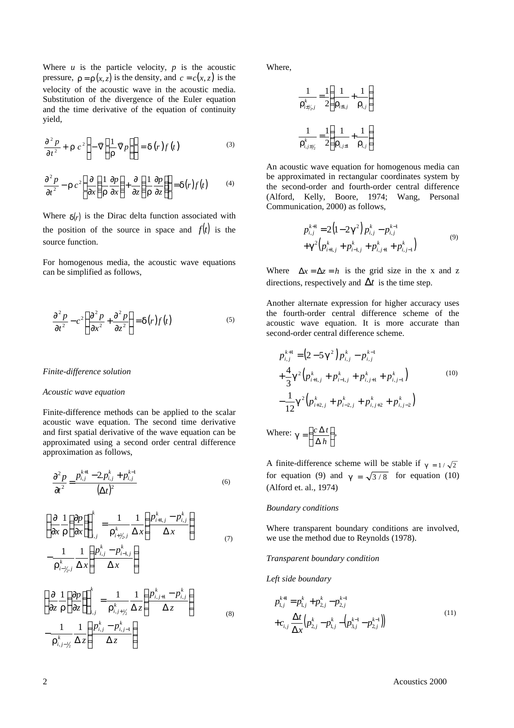Where  $u$  is the particle velocity,  $p$  is the acoustic pressure,  $\mathbf{r} = \mathbf{r}(x, z)$  is the density, and  $c = c(x, z)$  is the velocity of the acoustic wave in the acoustic media. Substitution of the divergence of the Euler equation and the time derivative of the equation of continuity yield,

$$
\frac{\partial^2 p}{\partial t^2} + \mathbf{r} c^2 \left\{ -\nabla \left[ \frac{1}{\mathbf{r}} \nabla p \right] \right\} = \mathbf{d}(r) f(t) \tag{3}
$$

$$
\frac{\partial^2 p}{\partial t^2} - \mathbf{r} c^2 \left\{ \frac{\partial}{\partial x} \left( \frac{1}{r} \frac{\partial p}{\partial x} \right) + \frac{\partial}{\partial z} \left( \frac{1}{r} \frac{\partial p}{\partial z} \right) \right\} = \mathbf{d}(r) f(t) \tag{4}
$$

Where  $\mathbf{d}(r)$  is the Dirac delta function associated with the position of the source in space and  $f(t)$  is the source function.

For homogenous media, the acoustic wave equations can be simplified as follows,

$$
\frac{\partial^2 p}{\partial t^2} - c^2 \left\{ \frac{\partial^2 p}{\partial x^2} + \frac{\partial^2 p}{\partial z^2} \right\} = \mathbf{d}(r) f(t)
$$
\n(5)

#### *Finite-difference solution*

#### *Acoustic wave equation*

Finite-difference methods can be applied to the scalar acoustic wave equation. The second time derivative and first spatial derivative of the wave equation can be approximated using a second order central difference approximation as follows,

$$
\frac{\partial^2 p}{\partial t^2} = \frac{p_{i,j}^{k+1} - 2p_{i,j}^k + p_{i,j}^{k-1}}{(\Delta t)^2}
$$
(6)

$$
\begin{aligned}\n\left\{\frac{\partial}{\partial x} \frac{1}{\mathbf{r}} \left(\frac{\partial p}{\partial x}\right)\right\}_{i,j}^{k} &= \frac{1}{\mathbf{r}_{i+\gamma_{2},j}^{k}} \frac{1}{\Delta x} \left(\frac{p_{i+1,j}^{k} - p_{i,j}^{k}}{\Delta x}\right) \\
-\frac{1}{\mathbf{r}_{i-\gamma_{2},j}^{k}} \frac{1}{\Delta x} \left(\frac{p_{i,j}^{k} - p_{i-1,j}^{k}}{\Delta x}\right)\n\end{aligned} \tag{7}
$$

$$
\begin{aligned}\n\left\{\frac{\partial}{\partial z} \frac{1}{\mathbf{r}} \left(\frac{\partial p}{\partial z}\right)\right\}_{i,j}^{k} &= \frac{1}{\mathbf{r}_{i,j+\frac{1}{2}}^{k}} \frac{1}{\Delta z} \left(\frac{p_{i,j+1}^{k} - p_{i,j}^{k}}{\Delta z}\right) \\
-\frac{1}{\mathbf{r}_{i,j-\frac{1}{2}}^{k}} \frac{1}{\Delta z} \left(\frac{p_{i,j}^{k} - p_{i,j-1}^{k}}{\Delta z}\right)\n\end{aligned} \tag{8}
$$

Where,

$$
\frac{1}{\mathbf{r}_{i\pm j'_2,j}^k} = \frac{1}{2} \left( \frac{1}{\mathbf{r}_{i\pm 1,j}} + \frac{1}{\mathbf{r}_{i,j}} \right)
$$

$$
\frac{1}{\mathbf{r}_{i,j\pm j'_2}^k} = \frac{1}{2} \left( \frac{1}{\mathbf{r}_{i,j\pm 1}} + \frac{1}{\mathbf{r}_{i,j}} \right)
$$

An acoustic wave equation for homogenous media can be approximated in rectangular coordinates system by the second-order and fourth-order central difference (Alford, Kelly, Boore, 1974; Wang, Personal Communication, 2000) as follows,

$$
p_{i,j}^{k+1} = 2(1-2g^2) p_{i,j}^k - p_{i,j}^{k-1}
$$
  
+
$$
g^2 (p_{i+1,j}^k + p_{i-1,j}^k + p_{i,j+1}^k + p_{i,j-1}^k)
$$
 (9)

Where  $\Delta x = \Delta z = h$  is the grid size in the x and z directions, respectively and  $\Delta t$  is the time step.

Another alternate expression for higher accuracy uses the fourth-order central difference scheme of the acoustic wave equation. It is more accurate than second-order central difference scheme.

$$
p_{i,j}^{k+1} = (2 - 5g^2) p_{i,j}^k - p_{i,j}^{k-1}
$$
  
+  $\frac{4}{3}g^2 (p_{i+1,j}^k + p_{i-1,j}^k + p_{i,j+1}^k + p_{i,j-1}^k)$   
-  $\frac{1}{12}g^2 (p_{i+2,j}^k + p_{i-2,j}^k + p_{i,j+2}^k + p_{i,j-2}^k)$   
Where:  $g = \left(\frac{c \Delta t}{\Delta h}\right)$ , (10)

A finite-difference scheme will be stable if  $g = 1/\sqrt{2}$ for equation (9) and  $g = \sqrt{3/8}$  for equation (10) (Alford et. al., 1974)

#### *Boundary conditions*

Where transparent boundary conditions are involved, we use the method due to Reynolds (1978).

#### *Transparent boundary condition*

Δ

*Left side boundary*

$$
p_{1,j}^{k+1} = p_{1,j}^k + p_{2,j}^k - p_{2,j}^{k-1}
$$
  
+
$$
c_{i,j} \frac{\Delta t}{\Delta x} \left( p_{2,j}^k - p_{1,j}^k - \left( p_{3,j}^{k-1} - p_{2,j}^{k-1} \right) \right)
$$
<sup>(11)</sup>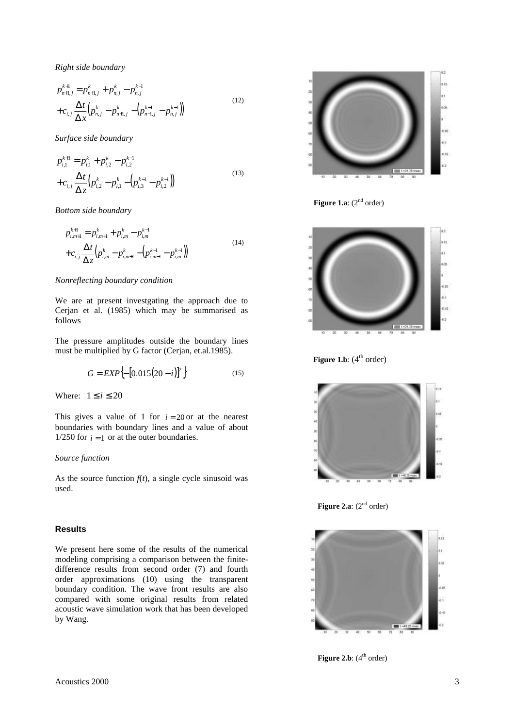*Right side boundary*

$$
p_{n+1,j}^{k+1} = p_{n+1,j}^k + p_{n,j}^k - p_{n,j}^{k-1}
$$
  
+
$$
c_{i,j} \frac{\Delta t}{\Delta x} \Big( p_{n,j}^k - p_{n+1,j}^k - \Big( p_{n-1,j}^{k-1} - p_{n,j}^{k-1} \Big) \Big)
$$
 (12)

*Surface side boundary*

$$
p_{i,1}^{k+1} = p_{i,1}^k + p_{i,2}^k - p_{i,2}^{k-1}
$$
  
+
$$
c_{i,j} \frac{\Delta t}{\Delta z} \Big( p_{i,2}^k - p_{i,1}^k - \Big( p_{i,3}^{k-1} - p_{i,2}^{k-1} \Big) \Big)
$$
 (13)

*Bottom side boundary*

$$
p_{i,m+1}^{k+1} = p_{i,m+1}^k + p_{i,m}^k - p_{i,m}^{k-1}
$$
  
+
$$
c_{i,j} \frac{\Delta t}{\Delta z} \Big( p_{i,m}^k - p_{i,m+1}^k - \Big( p_{i,m-1}^{k-1} - p_{i,m}^{k-1} \Big) \Big)
$$
 (14)

# *Nonreflecting boundary condition*

We are at present investgating the approach due to Cerjan et al. (1985) which may be summarised as follows

The pressure amplitudes outside the boundary lines must be multiplied by G factor (Cerjan, et.al.1985).

$$
G = EXP\Big\{ - [0.015(20 - i)]^2 \Big\}
$$
 (15)

Where:  $1 \le i \le 20$ 

This gives a value of 1 for  $i = 20$  or at the nearest boundaries with boundary lines and a value of about 1/250 for  $i = 1$  or at the outer boundaries.

### *Source function*

As the source function  $f(t)$ , a single cycle sinusoid was used.

# **Results**

We present here some of the results of the numerical modeling comprising a comparison between the finitedifference results from second order (7) and fourth order approximations (10) using the transparent boundary condition. The wave front results are also compared with some original results from related acoustic wave simulation work that has been developed by Wang.



**Figure 1.a**:  $(2^{nd}$  order)



**Figure 1.b**:  $(4^{th} \text{ order})$ 



**Figure 2.a**:  $(2^{nd}$  order)



**Figure 2.b**:  $(4^{th} \text{ order})$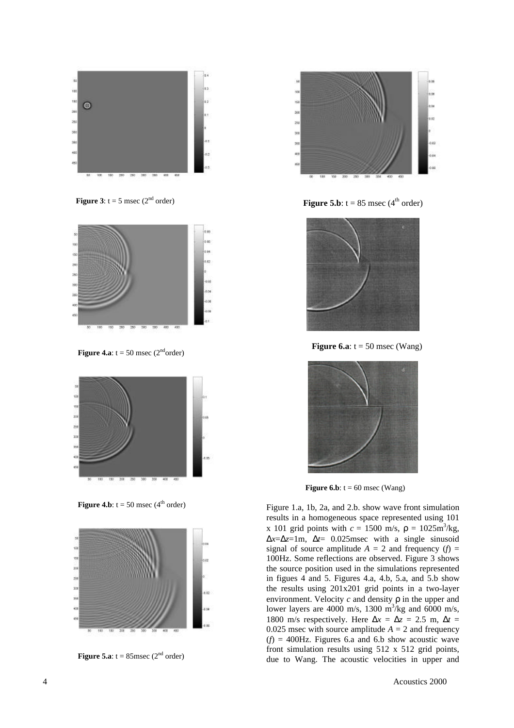

**Figure 3**:  $t = 5$  msec ( $2<sup>nd</sup>$  order)



**Figure 4.a**:  $t = 50$  msec (2<sup>nd</sup>order)



**Figure 4.b**:  $t = 50$  msec (4<sup>th</sup> order)



**Figure 5.a**:  $t = 85$ msec ( $2<sup>nd</sup>$  order)



**Figure 5.b**:  $t = 85$  msec (4<sup>th</sup> order)



**Figure 6.a**:  $t = 50$  msec (Wang)



**Figure 6.b**:  $t = 60$  msec (Wang)

Figure 1.a, 1b, 2a, and 2.b. show wave front simulation results in a homogeneous space represented using 101 x 101 grid points with  $c = 1500$  m/s,  $\mathbf{r} = 1025$ m<sup>3</sup>/kg, Δ*x*=Δ*z*=1m, Δ*t*= 0.025msec with a single sinusoid signal of source amplitude  $A = 2$  and frequency (*f*) = 100Hz. Some reflections are observed. Figure 3 shows the source position used in the simulations represented in figues 4 and 5. Figures 4.a, 4.b, 5.a, and 5.b show the results using 201x201 grid points in a two-layer environment. Velocity *c* and density *r* in the upper and lower layers are 4000 m/s, 1300 m<sup>3</sup>/kg and 6000 m/s, 1800 m/s respectively. Here  $\Delta x = \Delta z = 2.5$  m,  $\Delta t =$ 0.025 msec with source amplitude  $A = 2$  and frequency  $(f) = 400$ Hz. Figures 6.a and 6.b show acoustic wave front simulation results using 512 x 512 grid points, due to Wang. The acoustic velocities in upper and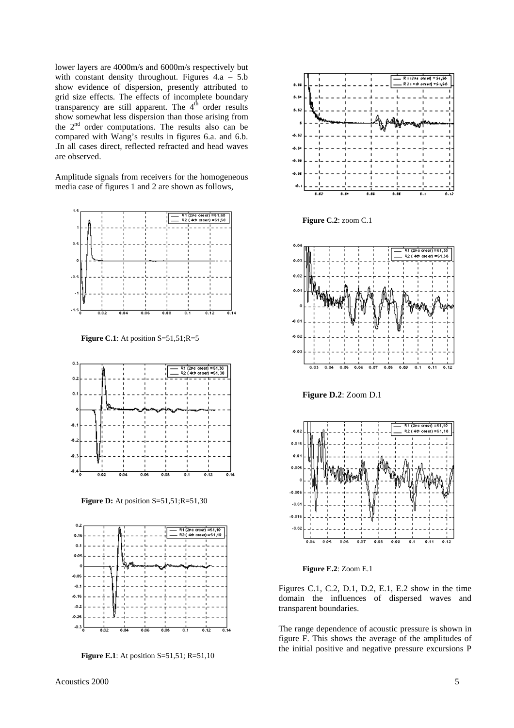lower layers are 4000m/s and 6000m/s respectively but with constant density throughout. Figures  $4.a - 5.b$ show evidence of dispersion, presently attributed to grid size effects. The effects of incomplete boundary transparency are still apparent. The  $4<sup>th</sup>$  order results show somewhat less dispersion than those arising from the  $2<sup>nd</sup>$  order computations. The results also can be compared with Wang's results in figures 6.a. and 6.b. .In all cases direct, reflected refracted and head waves are observed.

Amplitude signals from receivers for the homogeneous media case of figures 1 and 2 are shown as follows,



**Figure C.1**: At position S=51,51;R=5



**Figure D:** At position S=51,51;R=51,30



**Figure E.1**: At position S=51,51; R=51,10



**Figure C.2**: zoom C.1



**Figure D.2**: Zoom D.1



**Figure E.2**: Zoom E.1

Figures C.1, C.2, D.1, D.2, E.1, E.2 show in the time domain the influences of dispersed waves and transparent boundaries.

The range dependence of acoustic pressure is shown in figure F. This shows the average of the amplitudes of the initial positive and negative pressure excursions P